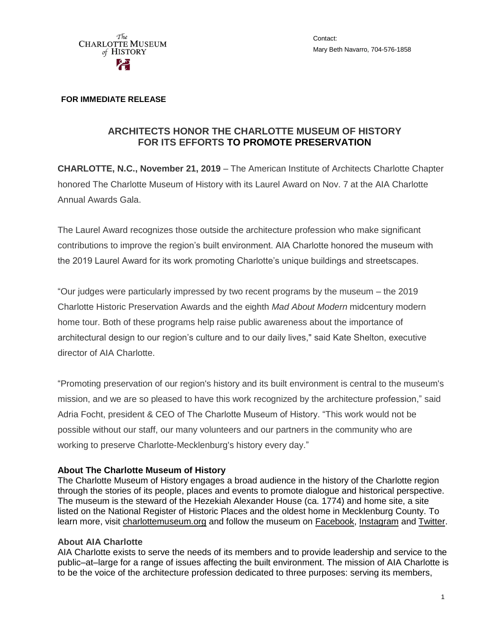

Contact: Mary Beth Navarro, 704-576-1858

## **FOR IMMEDIATE RELEASE**

## **ARCHITECTS HONOR THE CHARLOTTE MUSEUM OF HISTORY FOR ITS EFFORTS TO PROMOTE PRESERVATION**

**CHARLOTTE, N.C., November 21, 2019** – The American Institute of Architects Charlotte Chapter honored The Charlotte Museum of History with its Laurel Award on Nov. 7 at the AIA Charlotte Annual Awards Gala.

The Laurel Award recognizes those outside the architecture profession who make significant contributions to improve the region's built environment. AIA Charlotte honored the museum with the 2019 Laurel Award for its work promoting Charlotte's unique buildings and streetscapes.

"Our judges were particularly impressed by two recent programs by the museum – the 2019 Charlotte Historic Preservation Awards and the eighth *Mad About Modern* midcentury modern home tour. Both of these programs help raise public awareness about the importance of architectural design to our region's culture and to our daily lives," said Kate Shelton, executive director of AIA Charlotte.

"Promoting preservation of our region's history and its built environment is central to the museum's mission, and we are so pleased to have this work recognized by the architecture profession," said Adria Focht, president & CEO of The Charlotte Museum of History. "This work would not be possible without our staff, our many volunteers and our partners in the community who are working to preserve Charlotte-Mecklenburg's history every day."

## **About The Charlotte Museum of History**

The Charlotte Museum of History engages a broad audience in the history of the Charlotte region through the stories of its people, places and events to promote dialogue and historical perspective. The museum is the steward of the Hezekiah Alexander House (ca. 1774) and home site, a site listed on the National Register of Historic Places and the oldest home in Mecklenburg County. To learn more, visit [charlottemuseum.org](http://charlottemuseum.org/) and follow the museum on [Facebook,](https://www.facebook.com/charlottemuseumofhistory/) [Instagram](https://www.instagram.com/charlottemuseumofhistory/) and [Twitter.](https://twitter.com/CLThistory)

## **About AIA Charlotte**

AIA Charlotte exists to serve the needs of its members and to provide leadership and service to the public–at–large for a range of issues affecting the built environment. The mission of AIA Charlotte is to be the voice of the architecture profession dedicated to three purposes: serving its members,